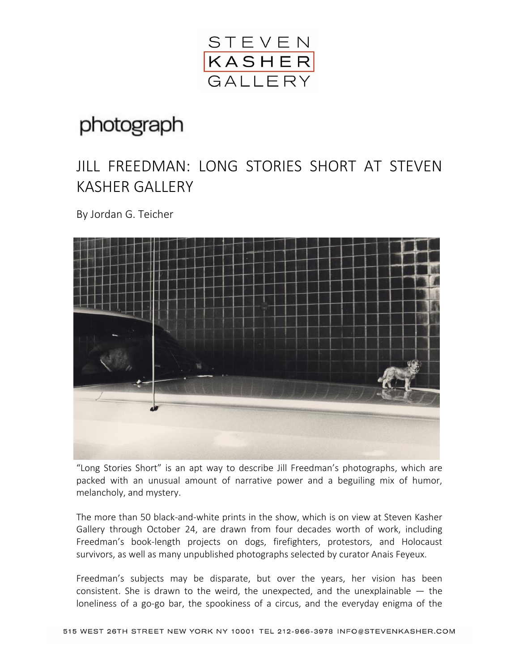

## photograph

## JILL FREEDMAN: LONG STORIES SHORT AT STEVEN KASHER GALLERY

By Jordan G. Teicher



"Long Stories Short" is an apt way to describe Jill Freedman's photographs, which are packed with an unusual amount of narrative power and a beguiling mix of humor, melancholy, and mystery.

The more than 50 black-and-white prints in the show, which is on view at Steven Kasher Gallery through October 24, are drawn from four decades worth of work, including Freedman's book-length projects on dogs, firefighters, protestors, and Holocaust survivors, as well as many unpublished photographs selected by curator Anais Feyeux.

Freedman's subjects may be disparate, but over the years, her vision has been consistent. She is drawn to the weird, the unexpected, and the unexplainable — the loneliness of a go-go bar, the spookiness of a circus, and the everyday enigma of the